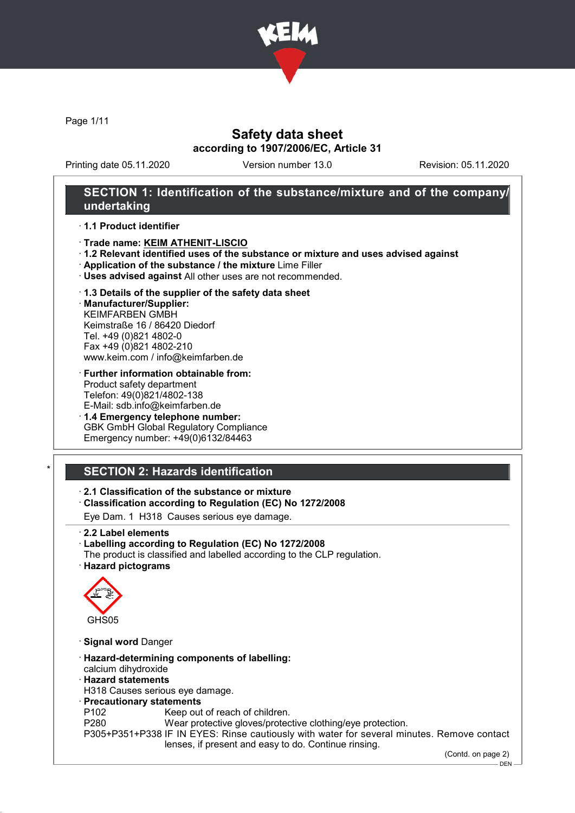

Page 1/11

## Safety data sheet according to 1907/2006/EC, Article 31

Printing date 05.11.2020 Version number 13.0 Revision: 05.11.2020

## SECTION 1: Identification of the substance/mixture and of the company/ undertaking

· 1.1 Product identifier

- · Trade name: KEIM ATHENIT-LISCIO
- · 1.2 Relevant identified uses of the substance or mixture and uses advised against
- · Application of the substance / the mixture Lime Filler
- · Uses advised against All other uses are not recommended.

#### · 1.3 Details of the supplier of the safety data sheet

· Manufacturer/Supplier: KEIMFARBEN GMBH Keimstraße 16 / 86420 Diedorf Tel. +49 (0)821 4802-0 Fax +49 (0)821 4802-210 www.keim.com / info@keimfarben.de

- · Further information obtainable from: Product safety department Telefon: 49(0)821/4802-138 E-Mail: sdb.info@keimfarben.de
- · 1.4 Emergency telephone number: GBK GmbH Global Regulatory Compliance Emergency number: +49(0)6132/84463

## **SECTION 2: Hazards identification**

#### · 2.1 Classification of the substance or mixture

· Classification according to Regulation (EC) No 1272/2008

Eye Dam. 1 H318 Causes serious eye damage.

- · 2.2 Label elements
- · Labelling according to Regulation (EC) No 1272/2008
- The product is classified and labelled according to the CLP regulation.
- · Hazard pictograms



- · Signal word Danger
- · Hazard-determining components of labelling:
- calcium dihydroxide
- · Hazard statements
- H318 Causes serious eye damage.
- · Precautionary statements
- P102 Keep out of reach of children.
- P280 Wear protective gloves/protective clothing/eye protection.

P305+P351+P338 IF IN EYES: Rinse cautiously with water for several minutes. Remove contact lenses, if present and easy to do. Continue rinsing.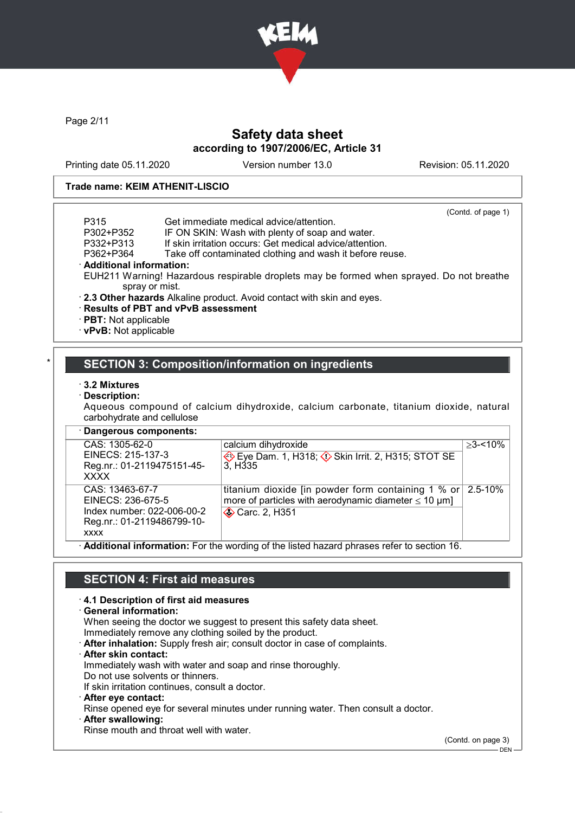

Page 2/11

# Safety data sheet according to 1907/2006/EC, Article 31

Printing date 05.11.2020 Version number 13.0 Revision: 05.11.2020

#### Trade name: KEIM ATHENIT-LISCIO

|                           | (Contd. of page 1)                                                                       |
|---------------------------|------------------------------------------------------------------------------------------|
| P315                      | Get immediate medical advice/attention.                                                  |
| P302+P352                 | IF ON SKIN: Wash with plenty of soap and water.                                          |
| P332+P313                 | If skin irritation occurs: Get medical advice/attention.                                 |
| P362+P364                 | Take off contaminated clothing and wash it before reuse.                                 |
| · Additional information: |                                                                                          |
|                           | EUH211 Warning! Hazardous respirable droplets may be formed when sprayed. Do not breathe |
|                           | spray or mist.                                                                           |
|                           | . 2.3 Other hazards Alkaline product. Avoid contact with skin and eyes.                  |

## · Results of PBT and vPvB assessment

- · PBT: Not applicable
- · vPvB: Not applicable

## SECTION 3: Composition/information on ingredients

#### · 3.2 Mixtures

#### Description:

Aqueous compound of calcium dihydroxide, calcium carbonate, titanium dioxide, natural carbohydrate and cellulose

| · Dangerous components: |
|-------------------------|
| CAS: 1305-62-0          |
| EINECS: 215-137-3       |

| CAS: 1305-62-0<br>EINECS: 215-137-3<br>Reg.nr.: 01-2119475151-45-                                               | calcium dihydroxide<br>Eye Dam. 1, H318; $\Diamond$ Skin Irrit. 2, H315; STOT SE<br>3. H <sub>335</sub>                                              | $>3 - 10\%$ |
|-----------------------------------------------------------------------------------------------------------------|------------------------------------------------------------------------------------------------------------------------------------------------------|-------------|
| <b>XXXX</b><br>CAS: 13463-67-7<br>EINECS: 236-675-5<br>Index number: 022-006-00-2<br>Reg.nr.: 01-2119486799-10- | titanium dioxide [in powder form containing 1 % or $\vert$ 2.5-10%<br>more of particles with aerodynamic diameter $\leq 10 \mu m$ ]<br>Carc. 2, H351 |             |
| <b>XXXX</b>                                                                                                     | . Additional information: Ear the wording of the listed begand phrases refer to section 16                                                           |             |

· Additional information: For the wording of the listed hazard phrases refer to section 16.

# SECTION 4: First aid measures

#### · 4.1 Description of first aid measures

- · General information: When seeing the doctor we suggest to present this safety data sheet. Immediately remove any clothing soiled by the product. · After inhalation: Supply fresh air; consult doctor in case of complaints. · After skin contact: Immediately wash with water and soap and rinse thoroughly. Do not use solvents or thinners. If skin irritation continues, consult a doctor. · After eye contact: Rinse opened eye for several minutes under running water. Then consult a doctor. After swallowing:
- Rinse mouth and throat well with water.

(Contd. on page 3)

 $-$  DEN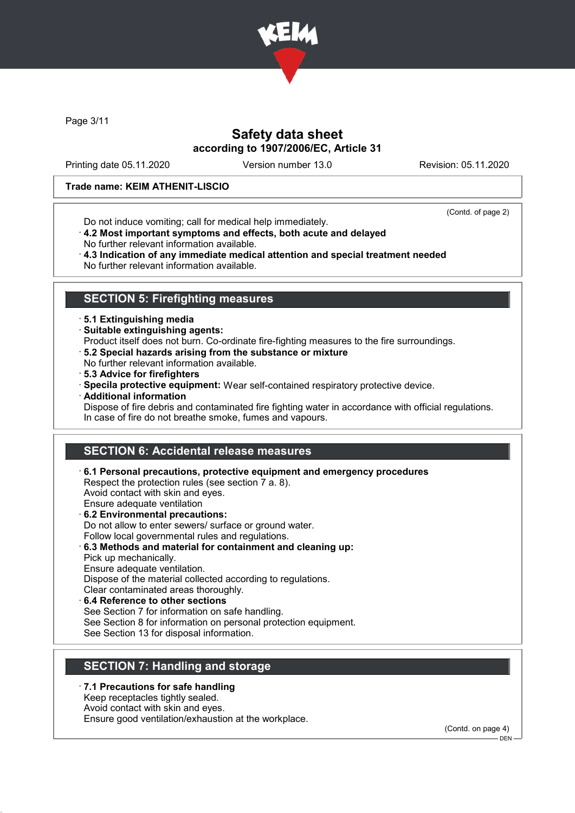

Page 3/11

## Safety data sheet according to 1907/2006/EC, Article 31

Printing date 05.11.2020 Version number 13.0 Revision: 05.11.2020

#### Trade name: KEIM ATHENIT-LISCIO

Do not induce vomiting; call for medical help immediately.

(Contd. of page 2)

- · 4.2 Most important symptoms and effects, both acute and delayed
- No further relevant information available.
- · 4.3 Indication of any immediate medical attention and special treatment needed No further relevant information available.

## SECTION 5: Firefighting measures

- · 5.1 Extinguishing media
- · Suitable extinguishing agents:
- Product itself does not burn. Co-ordinate fire-fighting measures to the fire surroundings.
- · 5.2 Special hazards arising from the substance or mixture
- No further relevant information available.
- · 5.3 Advice for firefighters
- · Specila protective equipment: Wear self-contained respiratory protective device.
- · Additional information
- Dispose of fire debris and contaminated fire fighting water in accordance with official regulations. In case of fire do not breathe smoke, fumes and vapours.

# SECTION 6: Accidental release measures

· 6.1 Personal precautions, protective equipment and emergency procedures Respect the protection rules (see section 7 a. 8). Avoid contact with skin and eyes. Ensure adequate ventilation · 6.2 Environmental precautions: Do not allow to enter sewers/ surface or ground water. Follow local governmental rules and regulations. · 6.3 Methods and material for containment and cleaning up: Pick up mechanically. Ensure adequate ventilation.

Dispose of the material collected according to regulations. Clear contaminated areas thoroughly.

6.4 Reference to other sections See Section 7 for information on safe handling. See Section 8 for information on personal protection equipment. See Section 13 for disposal information.

# SECTION 7: Handling and storage

- · 7.1 Precautions for safe handling
- Keep receptacles tightly sealed.
- Avoid contact with skin and eyes.

Ensure good ventilation/exhaustion at the workplace.

(Contd. on page 4)

 $-$  DEN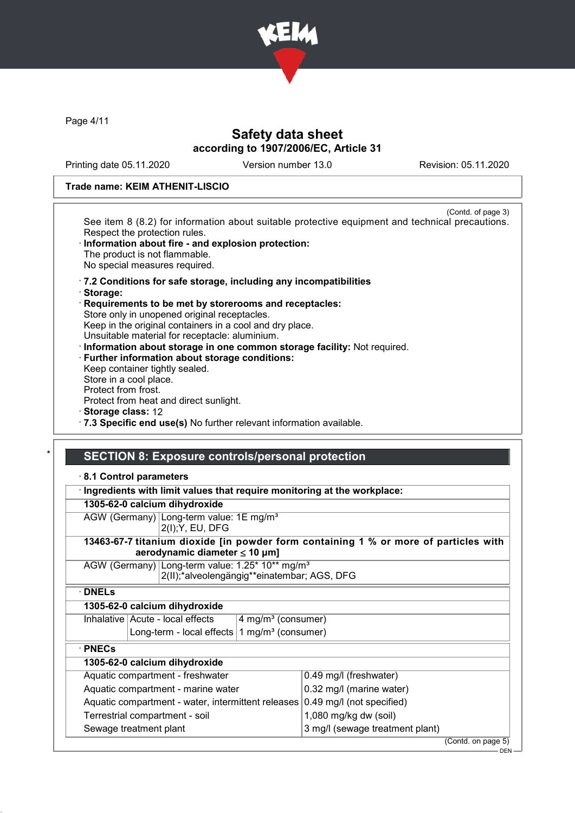

Page 4/11

## Safety data sheet according to 1907/2006/EC, Article 31

Printing date 05.11.2020 Version number 13.0 Revision: 05.11.2020

#### Trade name: KEIM ATHENIT-LISCIO

(Contd. of page 3) See item 8 (8.2) for information about suitable protective equipment and technical precautions. Respect the protection rules. · Information about fire - and explosion protection: The product is not flammable.

- No special measures required.
- · 7.2 Conditions for safe storage, including any incompatibilities
- · Storage:
- Requirements to be met by storerooms and receptacles: Store only in unopened original receptacles. Keep in the original containers in a cool and dry place. Unsuitable material for receptacle: aluminium.
- · Information about storage in one common storage facility: Not required.
- · Further information about storage conditions: Keep container tightly sealed.
- Store in a cool place.
- Protect from frost.
- Protect from heat and direct sunlight.
- · Storage class: 12
- · 7.3 Specific end use(s) No further relevant information available.

## SECTION 8: Exposure controls/personal protection

#### · 8.1 Control parameters

|               | Ingredients with limit values that require monitoring at the workplace:                                    |                                |                                                                                      |
|---------------|------------------------------------------------------------------------------------------------------------|--------------------------------|--------------------------------------------------------------------------------------|
|               | 1305-62-0 calcium dihydroxide                                                                              |                                |                                                                                      |
|               | AGW (Germany) Long-term value: 1E mg/m <sup>3</sup><br>2(I); Y, EU, DFG                                    |                                |                                                                                      |
|               | aerodynamic diameter $\leq 10$ µm]                                                                         |                                | 13463-67-7 titanium dioxide [in powder form containing 1 % or more of particles with |
|               | AGW (Germany) Long-term value: 1.25* 10** mg/m <sup>3</sup><br>2(II);*alveolengängig**einatembar; AGS, DFG |                                |                                                                                      |
| <b>DNELS</b>  |                                                                                                            |                                |                                                                                      |
|               | 1305-62-0 calcium dihydroxide                                                                              |                                |                                                                                      |
|               | Inhalative   Acute - local effects                                                                         | 4 mg/m <sup>3</sup> (consumer) |                                                                                      |
|               | Long-term - local effects $1$ mg/m <sup>3</sup> (consumer)                                                 |                                |                                                                                      |
| $\cdot$ PNECs |                                                                                                            |                                |                                                                                      |
|               | 1305-62-0 calcium dihydroxide                                                                              |                                |                                                                                      |
|               | Aquatic compartment - freshwater                                                                           |                                | 0.49 mg/l (freshwater)                                                               |
|               | Aquatic compartment - marine water                                                                         |                                | 0.32 mg/l (marine water)                                                             |
|               | Aquatic compartment - water, intermittent releases                                                         |                                | 0.49 mg/l (not specified)                                                            |
|               | Terrestrial compartment - soil                                                                             |                                | 1,080 mg/kg dw (soil)                                                                |
|               | Sewage treatment plant                                                                                     |                                | 3 mg/l (sewage treatment plant)<br>$10 - 11$                                         |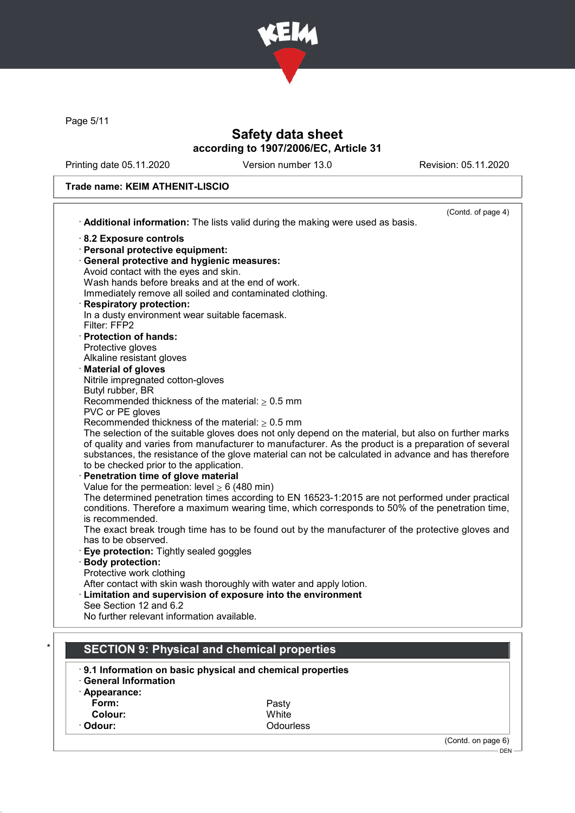

Page 5/11

# Safety data sheet according to 1907/2006/EC, Article 31

Printing date 05.11.2020 Version number 13.0 Revision: 05.11.2020

## Trade name: KEIM ATHENIT-LISCIO

| (Contd. of page 4)<br>Additional information: The lists valid during the making were used as basis.  |
|------------------------------------------------------------------------------------------------------|
|                                                                                                      |
| · Personal protective equipment:                                                                     |
| · General protective and hygienic measures:                                                          |
| Avoid contact with the eyes and skin.                                                                |
| Wash hands before breaks and at the end of work.                                                     |
| Immediately remove all soiled and contaminated clothing.                                             |
|                                                                                                      |
| In a dusty environment wear suitable facemask.                                                       |
|                                                                                                      |
|                                                                                                      |
|                                                                                                      |
|                                                                                                      |
|                                                                                                      |
| Nitrile impregnated cotton-gloves                                                                    |
|                                                                                                      |
| Recommended thickness of the material: $\geq 0.5$ mm                                                 |
|                                                                                                      |
| Recommended thickness of the material: $\geq 0.5$ mm                                                 |
| The selection of the suitable gloves does not only depend on the material, but also on further marks |
| of quality and varies from manufacturer to manufacturer. As the product is a preparation of several  |
| substances, the resistance of the glove material can not be calculated in advance and has therefore  |
| to be checked prior to the application.                                                              |
| Penetration time of glove material                                                                   |
| Value for the permeation: level $\geq 6$ (480 min)                                                   |
| The determined penetration times according to EN 16523-1:2015 are not performed under practical      |
| conditions. Therefore a maximum wearing time, which corresponds to 50% of the penetration time,      |
|                                                                                                      |
| The exact break trough time has to be found out by the manufacturer of the protective gloves and     |
|                                                                                                      |
| Eye protection: Tightly sealed goggles                                                               |
|                                                                                                      |
|                                                                                                      |
| After contact with skin wash thoroughly with water and apply lotion.                                 |
| · Limitation and supervision of exposure into the environment                                        |
|                                                                                                      |
| No further relevant information available.                                                           |
| <b>Respiratory protection:</b>                                                                       |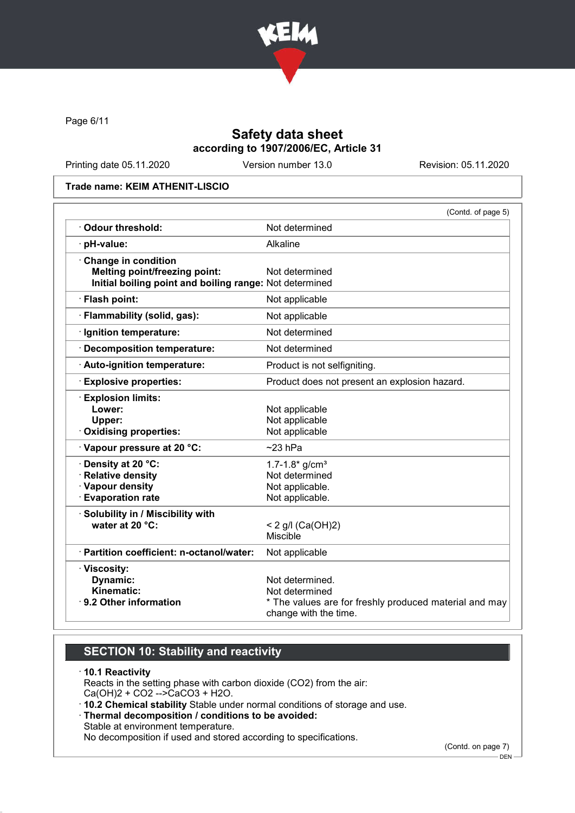

Page 6/11

## Safety data sheet according to 1907/2006/EC, Article 31

Printing date 05.11.2020 Version number 13.0 Revision: 05.11.2020

#### Trade name: KEIM ATHENIT-LISCIO

|                                                         | (Contd. of page 5)                                                              |
|---------------------------------------------------------|---------------------------------------------------------------------------------|
| <b>Odour threshold:</b>                                 | Not determined                                                                  |
| $\cdot$ pH-value:                                       | Alkaline                                                                        |
| Change in condition                                     |                                                                                 |
| <b>Melting point/freezing point:</b>                    | Not determined                                                                  |
| Initial boiling point and boiling range: Not determined |                                                                                 |
| · Flash point:                                          | Not applicable                                                                  |
| · Flammability (solid, gas):                            | Not applicable                                                                  |
| · Ignition temperature:                                 | Not determined                                                                  |
| · Decomposition temperature:                            | Not determined                                                                  |
| · Auto-ignition temperature:                            | Product is not selfigniting.                                                    |
| <b>Explosive properties:</b>                            | Product does not present an explosion hazard.                                   |
| <b>Explosion limits:</b>                                |                                                                                 |
| Lower:                                                  | Not applicable                                                                  |
| Upper:                                                  | Not applicable                                                                  |
| Oxidising properties:                                   | Not applicable                                                                  |
| Vapour pressure at 20 °C:                               | $~23$ hPa                                                                       |
| · Density at 20 °C:                                     | $1.7 - 1.8*$ g/cm <sup>3</sup>                                                  |
| · Relative density                                      | Not determined                                                                  |
| · Vapour density                                        | Not applicable.                                                                 |
| <b>Evaporation rate</b>                                 | Not applicable.                                                                 |
| · Solubility in / Miscibility with                      |                                                                                 |
| water at 20 °C:                                         | < 2 g/l (Ca(OH)2)                                                               |
|                                                         | Miscible                                                                        |
| · Partition coefficient: n-octanol/water:               | Not applicable                                                                  |
| · Viscosity:                                            |                                                                                 |
| Dynamic:                                                | Not determined.                                                                 |
| Kinematic:                                              | Not determined                                                                  |
| $\cdot$ 9.2 Other information                           | * The values are for freshly produced material and may<br>change with the time. |
|                                                         |                                                                                 |

# SECTION 10: Stability and reactivity

#### · 10.1 Reactivity

Reacts in the setting phase with carbon dioxide (CO2) from the air: Ca(OH)2 + CO2 -->CaCO3 + H2O.

- · 10.2 Chemical stability Stable under normal conditions of storage and use.
- · Thermal decomposition / conditions to be avoided:

Stable at environment temperature.

No decomposition if used and stored according to specifications.

(Contd. on page 7)

<sup>.&</sup>lt;br>- DEN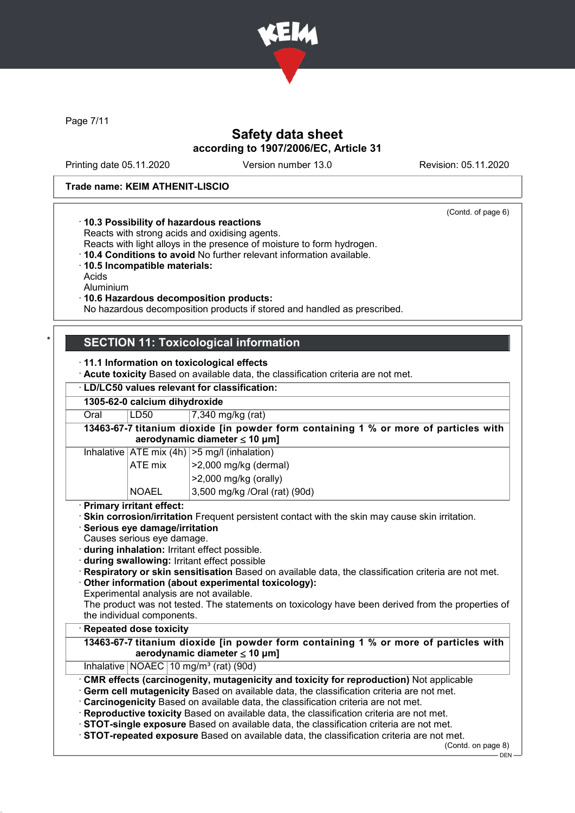

Page 7/11

## Safety data sheet according to 1907/2006/EC, Article 31

Printing date 05.11.2020 Version number 13.0 Revision: 05.11.2020

(Contd. of page 6)

#### Trade name: KEIM ATHENIT-LISCIO

#### · 10.3 Possibility of hazardous reactions

Reacts with strong acids and oxidising agents.

Reacts with light alloys in the presence of moisture to form hydrogen.

· 10.4 Conditions to avoid No further relevant information available.

· 10.5 Incompatible materials:

Acids

Aluminium

#### · 10.6 Hazardous decomposition products:

No hazardous decomposition products if stored and handled as prescribed.

## **SECTION 11: Toxicological information**

#### · 11.1 Information on toxicological effects

· Acute toxicity Based on available data, the classification criteria are not met.

· LD/LC50 values relevant for classification: 1305-62-0 calcium dihydroxide Oral LD50 7,340 mg/kg (rat) 13463-67-7 titanium dioxide [in powder form containing 1 % or more of particles with aerodynamic diameter  $\leq 10$  µm] Inhalative  $ATE \text{ mix } (4h)$  > 5 mg/l (inhalation)  $ATE \text{ mix}$   $| > 2.000 \text{ m}$ g/kg (dermal) >2,000 mg/kg (orally) NOAEL 3,500 mg/kg /Oral (rat) (90d) · Primary irritant effect: · Skin corrosion/irritation Frequent persistent contact with the skin may cause skin irritation. · Serious eye damage/irritation Causes serious eye damage. · during inhalation: Irritant effect possible. · during swallowing: Irritant effect possible · Respiratory or skin sensitisation Based on available data, the classification criteria are not met. Other information (about experimental toxicology): Experimental analysis are not available. The product was not tested. The statements on toxicology have been derived from the properties of the individual components. **Repeated dose toxicity** 13463-67-7 titanium dioxide [in powder form containing 1 % or more of particles with aerodynamic diameter ≤ 10 μm] Inhalative  $NOAEC$  10 mg/m<sup>3</sup> (rat) (90d) · CMR effects (carcinogenity, mutagenicity and toxicity for reproduction) Not applicable · Germ cell mutagenicity Based on available data, the classification criteria are not met. · Carcinogenicity Based on available data, the classification criteria are not met. · Reproductive toxicity Based on available data, the classification criteria are not met. · STOT-single exposure Based on available data, the classification criteria are not met.

· STOT-repeated exposure Based on available data, the classification criteria are not met.

(Contd. on page 8)  $-$  DEN -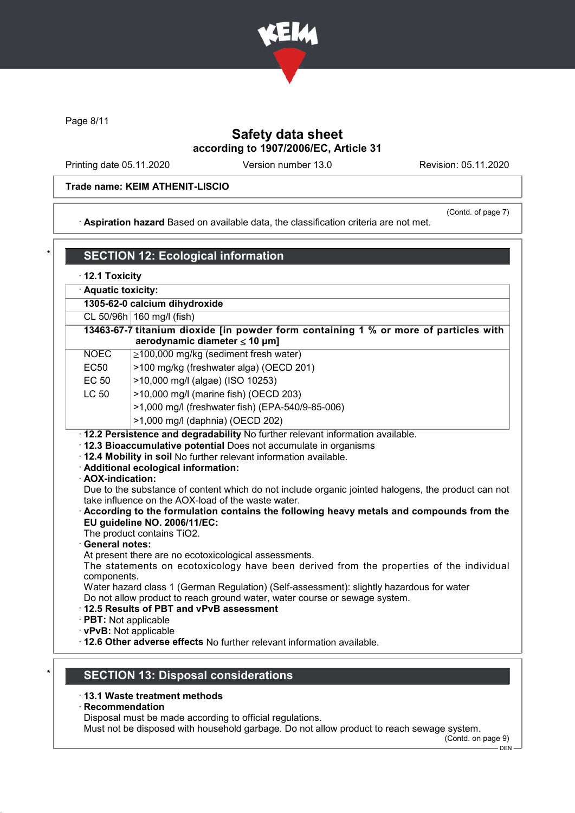

Page 8/11

# Safety data sheet according to 1907/2006/EC, Article 31

Printing date 05.11.2020 Version number 13.0 Revision: 05.11.2020

### Trade name: KEIM ATHENIT-LISCIO

· Aspiration hazard Based on available data, the classification criteria are not met.

(Contd. of page 7)

| · Aquatic toxicity: | · 12.1 Toxicity                                                                                                                                                                                                                                                                     |
|---------------------|-------------------------------------------------------------------------------------------------------------------------------------------------------------------------------------------------------------------------------------------------------------------------------------|
|                     | 1305-62-0 calcium dihydroxide                                                                                                                                                                                                                                                       |
|                     | CL 50/96h 160 mg/l (fish)                                                                                                                                                                                                                                                           |
|                     | 13463-67-7 titanium dioxide [in powder form containing 1 % or more of particles with<br>aerodynamic diameter $\leq 10$ µm]                                                                                                                                                          |
| <b>NOEC</b>         | ≥100,000 mg/kg (sediment fresh water)                                                                                                                                                                                                                                               |
| <b>EC50</b>         | >100 mg/kg (freshwater alga) (OECD 201)                                                                                                                                                                                                                                             |
| <b>EC 50</b>        | >10,000 mg/l (algae) (ISO 10253)                                                                                                                                                                                                                                                    |
| <b>LC 50</b>        | >10,000 mg/l (marine fish) (OECD 203)                                                                                                                                                                                                                                               |
|                     | >1,000 mg/l (freshwater fish) (EPA-540/9-85-006)                                                                                                                                                                                                                                    |
|                     | >1,000 mg/l (daphnia) (OECD 202)                                                                                                                                                                                                                                                    |
| · AOX-indication:   | 12.3 Bioaccumulative potential Does not accumulate in organisms<br>. 12.4 Mobility in soil No further relevant information available.<br>· Additional ecological information:<br>Due to the substance of content which do not include organic jointed halogens, the product can not |
|                     | take influence on the AOX-load of the waste water.<br>According to the formulation contains the following heavy metals and compounds from the<br>EU guideline NO. 2006/11/EC:<br>The product contains TiO2.                                                                         |
| · General notes:    |                                                                                                                                                                                                                                                                                     |
| components.         | At present there are no ecotoxicological assessments.<br>The statements on ecotoxicology have been derived from the properties of the individual                                                                                                                                    |
|                     | Water hazard class 1 (German Regulation) (Self-assessment): slightly hazardous for water                                                                                                                                                                                            |
|                     | Do not allow product to reach ground water, water course or sewage system.                                                                                                                                                                                                          |
|                     | 12.5 Results of PBT and vPvB assessment                                                                                                                                                                                                                                             |
|                     | · PBT: Not applicable<br>· vPvB: Not applicable                                                                                                                                                                                                                                     |

### · 13.1 Waste treatment methods

· Recommendation

Disposal must be made according to official regulations.

Must not be disposed with household garbage. Do not allow product to reach sewage system.

(Contd. on page 9)

<sup>–</sup> DEN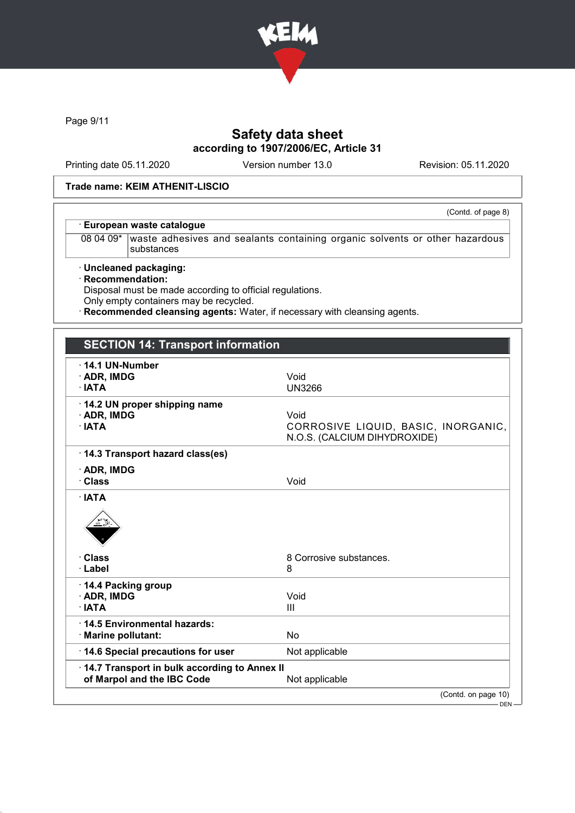

Page 9/11

# Safety data sheet according to 1907/2006/EC, Article 31

Printing date 05.11.2020 Version number 13.0 Revision: 05.11.2020

(Contd. of page 8)

#### Trade name: KEIM ATHENIT-LISCIO

· European waste catalogue

08 04 09\* waste adhesives and sealants containing organic solvents or other hazardous substances

· Uncleaned packaging:

· Recommendation:

Disposal must be made according to official regulations. Only empty containers may be recycled.

· Recommended cleansing agents: Water, if necessary with cleansing agents.

| <b>SECTION 14: Transport information</b>                                   |                                                                             |
|----------------------------------------------------------------------------|-----------------------------------------------------------------------------|
| $\cdot$ 14.1 UN-Number<br>· ADR, IMDG<br>· IATA                            | Void<br><b>UN3266</b>                                                       |
| 14.2 UN proper shipping name<br>· ADR, IMDG<br>· IATA                      | Void<br>CORROSIVE LIQUID, BASIC, INORGANIC,<br>N.O.S. (CALCIUM DIHYDROXIDE) |
| 14.3 Transport hazard class(es)                                            |                                                                             |
| $\cdot$ ADR, IMDG<br>· Class                                               | Void                                                                        |
| · IATA                                                                     |                                                                             |
| · Class                                                                    | 8 Corrosive substances.                                                     |
| · Label                                                                    | 8                                                                           |
| 14.4 Packing group<br>· ADR, IMDG<br>· IATA                                | Void<br>Ш                                                                   |
| ⋅14.5 Environmental hazards:<br>· Marine pollutant:                        | No                                                                          |
| 14.6 Special precautions for user                                          | Not applicable                                                              |
| 14.7 Transport in bulk according to Annex II<br>of Marpol and the IBC Code | Not applicable                                                              |
|                                                                            | (Contd. on page 10)                                                         |
|                                                                            | $DEN -$                                                                     |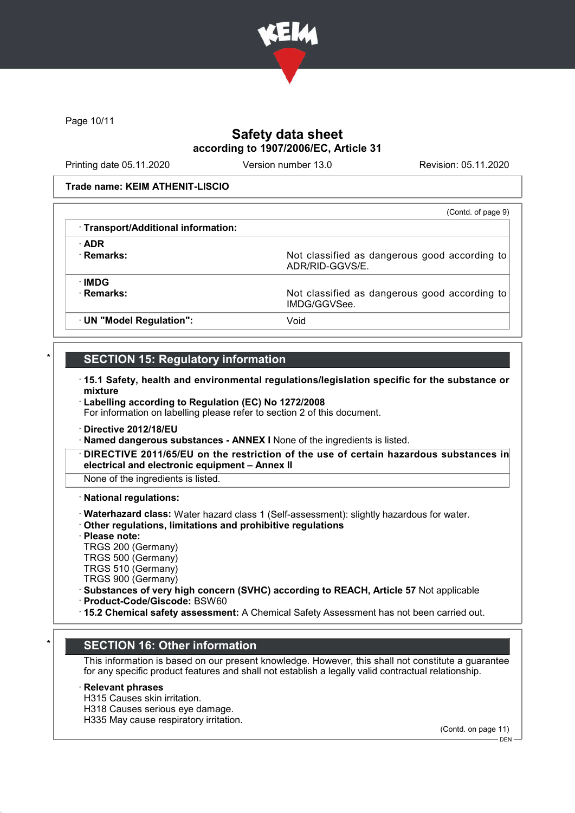

Page 10/11

## Safety data sheet according to 1907/2006/EC, Article 31

Printing date 05.11.2020 Version number 13.0 Revision: 05.11.2020

#### Trade name: KEIM ATHENIT-LISCIO

|                                     | (Contd. of page 9)                                               |
|-------------------------------------|------------------------------------------------------------------|
| · Transport/Additional information: |                                                                  |
| $\cdot$ ADR                         |                                                                  |
| · Remarks:                          | Not classified as dangerous good according to<br>ADR/RID-GGVS/E. |
| ∴IMDG                               |                                                                  |
| · Remarks:                          | Not classified as dangerous good according to<br>IMDG/GGVSee.    |
| · UN "Model Regulation":            | Void                                                             |
|                                     |                                                                  |

## **SECTION 15: Regulatory information**

- · 15.1 Safety, health and environmental regulations/legislation specific for the substance or mixture
- · Labelling according to Regulation (EC) No 1272/2008

For information on labelling please refer to section 2 of this document.

· Directive 2012/18/EU

· Named dangerous substances - ANNEX I None of the ingredients is listed.

DIRECTIVE 2011/65/EU on the restriction of the use of certain hazardous substances in electrical and electronic equipment – Annex II

None of the ingredients is listed.

· National regulations:

· Waterhazard class: Water hazard class 1 (Self-assessment): slightly hazardous for water.

· Other regulations, limitations and prohibitive regulations

· Please note:

TRGS 200 (Germany)

TRGS 500 (Germany)

TRGS 510 (Germany)

TRGS 900 (Germany)

- · Substances of very high concern (SVHC) according to REACH, Article 57 Not applicable
- · Product-Code/Giscode: BSW60
- · 15.2 Chemical safety assessment: A Chemical Safety Assessment has not been carried out.

## **SECTION 16: Other information**

This information is based on our present knowledge. However, this shall not constitute a guarantee for any specific product features and shall not establish a legally valid contractual relationship.

#### **Relevant phrases**

- H315 Causes skin irritation.
- H318 Causes serious eye damage.
- H335 May cause respiratory irritation.

(Contd. on page 11)  $-$  DEN